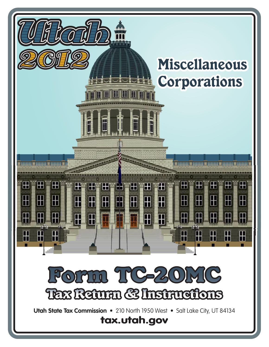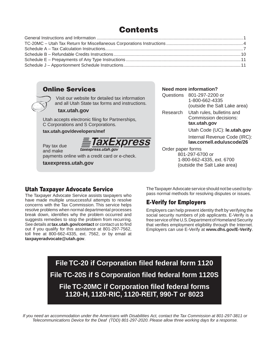# **Contents**

### **Online Services**

 Visit our website for detailed tax information and all Utah State tax forms and instructions.

#### **tax.utah.gov**

Utah accepts electronic filing for Partnerships, C Corporations and S Corporations.

#### **tax.utah.gov/developers/mef**



Pay tax due taxexpress.utah.gov and make payments online with a credit card or e-check.

**taxexpress.utah.gov**

#### **Need more information?**

| Questions | 801-297-2200 or<br>1-800-662-4335<br>(outside the Salt Lake area)  |  |  |
|-----------|--------------------------------------------------------------------|--|--|
| Research  | Utah rules, bulletins and<br>Commission decisions:<br>tax.utah.gov |  |  |
|           | Utah Code (UC): le.utah.gov                                        |  |  |
|           | Internal Revenue Code (IRC)                                        |  |  |

Internal Revenue Code **law.cornell.edu/uscode/26**

#### Order paper forms 801-297-6700 or 1-800-662-4335, ext. 6700 (outside the Salt Lake area)

### **Utah Taxpayer Advocate Service**

The Taxpayer Advocate Service assists taxpayers who have made multiple unsuccessful attempts to resolve concerns with the Tax Commission. This service helps resolve problems when normal departmental processes break down, identifies why the problem occurred and suggests remedies to stop the problem from recurring. See details at **tax.utah.gov/contact** or contact us to find out if you qualify for this assistance at 801-297-7562, toll free at 800-662-4335, ext. 7562, or by email at **taxpayeradvocate@utah.gov**.

The Taxpayer Advocate service should not be used to bypass normal methods for resolving disputes or issues.

## **E-Verify for Employers**

Employers can help prevent identity theft by verifying the social security numbers of job applicants. E-Verify is a free service of the U.S. Department of Homeland Security that verifies employment eligibility through the Internet. Employers can use E-Verify at **www.dhs.gov/E-Verify**.

**File TC-20 if Corporation filed federal form 1120 File TC-20S if S Corporation filed federal form 1120S File TC-20MC if Corporation filed federal forms 1120-H, 1120-RIC, 1120-REIT, 990-T or 8023**

*If you need an accommodation under the Americans with Disabilities Act, contact the Tax Commission at 801-297-3811 or Telecommunications Device for the Deaf (TDD) 801-297-2020. Please allow three working days for a response.*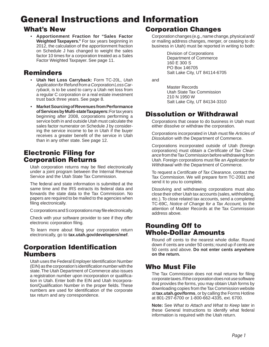# **General Instructions and Information**

## **What's New**

• **Apportionment Fraction for "Sales Factor Weighted Taxpayers."** For tax years beginning in 2012, the calculation of the apportionment fraction on Schedule J has changed to weight the sales factor 10 times for a corporation treated as a Sales Factor Weighted Taxpayer. See page 11.

## **Reminders**

- **Utah Net Loss Carryback:** Form TC-20L, *Utah Application for Refund from a Corporation Loss Carryback,* is to be used to carry a Utah net loss from a regular C corporation or a real estate investment trust back three years. See page 8.
- **Market Sourcing of Revenues from Performance of Services by Multi-state Taxpayers:** For tax years beginning after 2008, corporations performing a service both in and outside Utah must calculate the sales factor numerator on Schedule J by considering the service income to be in Utah if the buyer receives a greater benefit of the service in Utah than in any other state. See page 12.

## **Electronic Filing for Corporation Returns**

Utah corporation returns may be filed electronically under a joint program between the Internal Revenue Service and the Utah State Tax Commission.

The federal and state information is submitted at the same time and the IRS extracts its federal data and forwards the state data to the Tax Commission. No papers are required to be mailed to the agencies when filing electronically.

C corporations and S corporations may file electronically.

Check with your software provider to see if they offer electronic corporation filing.

To learn more about filing your corporation return electronically, go to **tax.utah.gov/developers/mef**.

### **Corporation Identification Numbers**

Utah uses the Federal Employer Identification Number (EIN) as the corporation's identification number with the state. The Utah Department of Commerce also issues a registration number upon incorporation or qualification in Utah. Enter both the EIN and Utah Incorporation/Qualification Number in the proper fields. These numbers are used for identification of the corporate tax return and any correspondence.

## **Corporation Changes**

Corporation changes (e.g., name change, physical and/ or mailing address changes, merger, or ceasing to do business in Utah) must be reported in writing to both:

> Division of Corporations Department of Commerce 160 E 300 S PO Box 146705 Salt Lake City, UT 84114-6705

and

 Master Records Utah State Tax Commission 210 N 1950 W Salt Lake City, UT 84134-3310

## **Dissolution or Withdrawal**

Corporations that cease to do business in Utah must either dissolve or withdraw the corporation.

Corporations incorporated in Utah must file *Articles of Dissolution* with the Department of Commerce.

Corporations incorporated outside of Utah (foreign corporations) must obtain a *Certificate of Tax Clearance* from the Tax Commission before withdrawing from Utah. Foreign corporations must file an *Application for Withdrawal* with the Department of Commerce.

To request a *Certificate of Tax Clearance*, contact the Tax Commission. We will prepare form TC-2001 and send it to you to complete.

Dissolving and withdrawing corporations must also close their other Utah tax accounts (sales, withholding, etc.). To close related tax accounts, send a completed TC-69C, *Notice of Change for a Tax Account,* to the attention of Master Records at the Tax Commission address above.

## **Rounding Off to Whole-Dollar Amounts**

Round off cents to the nearest whole dollar. Round down if cents are under 50 cents; round up if cents are 50 cents and above. **Do not enter cents anywhere on the return.**

## **Who Must File**

The Tax Commission does not mail returns for filing corporate taxes. If the corporation does not use software that provides the forms, you may obtain Utah forms by downloading copies from the Tax Commission website at **tax.utah.gov/forms**, or by calling the Forms Hotline at 801-297-6700 or 1-800-662-4335, ext. 6700.

**Note:** See *What to Attach and What to Keep* later in these General Instructions to identify what federal information is required with the Utah return.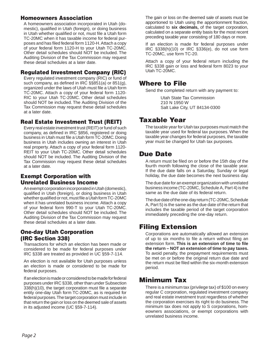### **Homeowners Association**

A homeowners association incorporated in Utah (domestic), qualified in Utah (foreign), or doing business in Utah whether qualified or not, must file a Utah form TC-20MC when it has taxable income for federal purposes and has filed federal form 1120-H. Attach a copy of your federal form 1120-H to your Utah TC-20MC. Other detail schedules should NOT be included. The Auditing Division of the Tax Commission may request these detail schedules at a later date.

### **Regulated Investment Company (RIC)**

Every regulated investment company (RIC) or fund of such company, as defined in IRC  $\S$ §851(a) or 851(g), organized under the laws of Utah must file a Utah form TC-20MC. Attach a copy of your federal form 1120- RIC to your Utah TC-20MC. Other detail schedules should NOT be included. The Auditing Division of the Tax Commission may request these detail schedules at a later date.

### **Real Estate Investment Trust (REIT)**

Every real estate investment trust (REIT) or fund of such company, as defined in IRC §856, registered or doing business in Utah must file a Utah form TC-20MC. Doing business in Utah includes owning an interest in Utah real property. Attach a copy of your federal form 1120- REIT to your Utah TC-20MC. Other detail schedules should NOT be included. The Auditing Division of the Tax Commission may request these detail schedules at a later date.

### **Exempt Corporation with Unrelated Business Income**

An exempt corporation incorporated in Utah (domestic), qualified in Utah (foreign), or doing business in Utah whether qualified or not, must file a Utah form TC-20MC when it has unrelated business income. Attach a copy of your federal form 990-T to your Utah TC-20MC. Other detail schedules should NOT be included. The Auditing Division of the Tax Commission may request these detail schedules at a later date.

### **One-day Utah Corporation (IRC Section 338)**

Transactions for which an election has been made or considered to be made for federal purposes under IRC §338 are treated as provided in UC §59-7-114.

An election is not available for Utah purposes unless an election is made or considered to be made for federal purposes.

If an election is made or considered to be made for federal purposes under IRC §338, other than under Subsection  $338(h)(10)$ , the target corporation must file a separate entity one-day Utah form TC-20MC, as is required for federal purposes. The target corporation must include in that return the gain or loss on the deemed sale of assets in its adjusted income (UC §59-7-114).

The gain or loss on the deemed sale of assets must be apportioned to Utah using the apportionment fraction, calculated to **six decimals,** of the target corporation, calculated on a separate entity basis for the most recent preceding taxable year consisting of 180 days or more.

If an election is made for federal purposes under IRC §338(h)(10) or IRC §336(e), do not use form TC-20MC, use form TC-20.

Attach a copy of your federal return including the IRC §338 gain or loss and federal form 8023 to your Utah TC-20MC.

## **Where to File**

Send the completed return with any payment to:

 Utah State Tax Commission 210 N 1950 W Salt Lake City, UT 84134-0300

## **Taxable Year**

The taxable year for Utah tax purposes must match the taxable year used for federal tax purposes. When the taxable year changes for federal purposes, the taxable year must be changed for Utah tax purposes.

## **Due Date**

A return must be filed on or before the 15th day of the fourth month following the close of the taxable year. If the due date falls on a Saturday, Sunday or legal holiday, the due date becomes the next business day.

The due date for an exempt organization with unrelated business income (TC-20MC, Schedule A, Part 4) is the same as the due date of its federal return.

The due date of the one-day return (TC-20MC, Schedule A, Part 5) is the same as the due date of the return that includes the taxable period of the target corporation immediately preceding the one-day return.

## **Filing Extension**

Corporations are automatically allowed an extension of up to six months to file a return without filing an extension form. This is an extension of time to file **the return – NOT an extension of time to pay taxes.**  To avoid penalty, the prepayment requirements must be met on or before the original return due date and the return must be filed within the six-month extension period.

## **Minimum Tax**

There is a minimum tax (privilege tax) of \$100 on every regular C corporation, regulated investment company and real estate investment trust regardless of whether the corporation exercises its right to do business. The minimum tax does not apply to S corporations, homeowners associations, or exempt corporations with unrelated business income.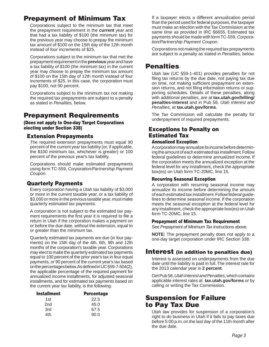## **Prepayment of Minimum Tax**

Corporations subject to the minimum tax that meet the prepayment requirement in the **current** year and that had a tax liability of \$100 (the minimum tax) for the previous year may choose to prepay the minimum tax amount of \$100 on the 15th day of the 12th month instead of four increments of \$25.

Corporations subject to the minimum tax that met the prepayment requirement in the **previous** year and have a tax liability of \$100 (the minimum tax) in the current year may choose to prepay the minimum tax amount of \$100 on the 15th day of 12th month instead of four increments of \$25. In this case, the corporation must pay \$100, not 90 percent.

Corporations subject to the minimum tax not making the required tax prepayments are subject to a penalty as stated in *Penalties,* below.

## **Prepayment Requirements**

**(Does not apply to One-day Target Corporations electing under Section 338)**

### **Extension Prepayments**

The required extension prepayments must equal 90 percent of the current year tax liability (or, if applicable, the \$100 minimum tax, whichever is greater) or 100 percent of the previous year's tax liability.

Corporations should make estimated prepayments using form TC-559, *Corporation/Partnership Payment Coupon*.

### **Quarterly Payments**

Every corporation having a Utah tax liability of \$3,000 or more in the current taxable year, or a tax liability of \$3,000 or more in the previous taxable year, must make quarterly estimated tax payments.

A corporation is not subject to the estimated tax payment requirements the first year it is required to file a return in Utah if the corporation makes a payment on or before the due date, without the extension, equal to or greater than the minimum tax.

Quarterly estimated tax payments are due (in four payments) on the 15th day of the 4th, 6th, 9th and 12th months of the corporation's taxable year. Corporations may elect to make the quarterly estimated tax payments equal to 100 percent of the prior year's tax in four equal payments, or 90 percent of the current year's tax based on the percentages below. As defined in UC §59-7-504(2), the applicable percentage of the required payment for annualized income installments, for adjusted seasonal installments, and for estimated tax payments based on the current year tax liability, is the following:

| <b>Installment</b> | <b>Percentage</b> |
|--------------------|-------------------|
| 1st                | 22.5              |
| 2 <sub>nd</sub>    | 45.0              |
| 3rd                | 67.5              |
| 4th                | 90.0              |

If a taxpayer elects a different annualization period than the period used for federal purposes, the taxpayer must make an election with the Tax Commission at the same time as provided in IRC §6655. Estimated tax payments should be made with form TC-559, *Corporation/Partnership Payment Coupon.*

Corporations not making the required tax prepayments are subject to a penalty as stated in *Penalties,* below.

## **Penalties**

Utah law (UC §59-1-401) provides penalties for not filing tax returns by the due date, not paying tax due on time, not making sufficient prepayment on extension returns, and not filing information returns or supporting schedules. Details of these penalties, along with additional penalties, are at **tax.utah.gov/billing/ penalties-interest** and in Pub 58, *Utah Interest and Penalties,* at **tax.utah.gov/forms**.

The Tax Commission will calculate the penalty for underpayment of required prepayments.

### **Exceptions to Penalty on Estimated Tax**

#### **Annualized Exception**

A corporation may annualize its income before determining the amount of each estimated tax installment. Follow federal guidelines to determine annualized income. If the corporation meets the annualized exception at the federal level for any installment, check the appropriate box(es) on Utah form TC-20MC, line 15.

#### **Recurring Seasonal Exception**

A corporation with recurring seasonal income may annualize its income before determining the amount of each estimated tax installment. Follow federal guidelines to determine seasonal income. If the corporation meets the seasonal exception at the federal level for any installment, check the appropriate box(es) on Utah form TC-20MC, line 15.

#### **Prepayment of Minimum Tax Requirement**

See *Prepayment of Minimum Tax* instructions above.

**NOTE:** The prepayment penalty does not apply to a one-day target corporation under IRC Section 338.

### **Interest (in addition to penalties due)**

Interest is assessed on underpayments from the due date until the liability is paid in full. The interest rate for the 2013 calendar year is **2 percent**.

Get Pub 58, *Utah Interest and Penalties,* which contains applicable interest rates at **tax.utah.gov/forms** or by calling or writing the Tax Commission.

## **Suspension for Failure to Pay Tax Due**

Utah law provides for suspension of a corporation's right to do business in Utah if it fails to pay taxes due before 5:00 p.m. on the last day of the 11th month after the due date.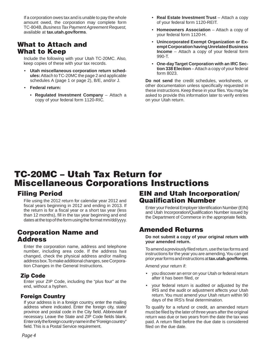If a corporation owes tax and is unable to pay the whole amount owed, the corporation may complete form TC-804B, *Business Tax Payment Agreement Request,*  available at **tax.utah.gov/forms**.

### **What to Attach and What to Keep**

Include the following with your Utah TC-20MC. Also, keep copies of these with your tax records.

- **Utah miscellaneous corporation return schedules:** Attach to TC-20MC the page 2 and applicable schedules A (page 1 or page 2), B/E, and/or J.
- **Federal return:**
	- **Regulated Investment Company** Attach a copy of your federal form 1120-RIC.
- **Real Estate Investment Trust** Attach a copy of your federal form 1120-REIT.
- **Homeowners Association** Attach a copy of your federal form 1120-H.
- **Unincorporated Exempt Organization or Exempt Corporation having Unrelated Business Income** – Attach a copy of your federal form 990-T.
- **One-day Target Corporation with an IRC Section 338 Election** – Attach a copy of your federal form 8023.

**Do not send** the credit schedules, worksheets, or other documentation unless specifically requested in these instructions. Keep these in your files. You may be asked to provide this information later to verify entries on your Utah return.

# **TC-20MC – Utah Tax Return for Miscellaneous Corporations Instructions**

## **Filing Period**

File using the 2012 return for calendar year 2012 and fiscal years beginning in 2012 and ending in 2013. If the return is for a fiscal year or a short tax year (less than 12 months), fill in the tax year beginning and end dates at the top of the form using the format mm/dd/yyyy.

## **Corporation Name and Address**

Enter the corporation name, address and telephone number, including area code. If the address has changed, check the physical address and/or mailing address box. To make additional changes, see Corporation Changes in the General Instructions.

### **Zip Code**

Enter your ZIP Code, including the "plus four" at the end, without a hyphen.

### **Foreign Country**

If your address is in a foreign country, enter the mailing address where indicated. Enter the foreign city, state/ province and postal code in the City field. Abbreviate if necessary. Leave the State and ZIP Code fields blank. Enter only the foreign country name in the "Foreign country" field. This is a Postal Service requirement.

### **EIN and Utah Incorporation/ Qualification Number**

Enter your Federal Employer Identification Number (EIN) and Utah Incorporation/Qualification Number issued by the Department of Commerce in the appropriate fields.

## **Amended Returns**

**Do not submit a copy of your original return with your amended return.**

To amend a previously filed return, use the tax forms and instructions for the year you are amending. You can get prior year forms and instructions at **tax.utah.gov/forms**.

Amend your return if:

- you discover an error on your Utah or federal return after it has been filed, or
- your federal return is audited or adjusted by the IRS and the audit or adjustment affects your Utah return. You must amend your Utah return within 90 days of the IRS's final determination.

To qualify for a refund or credit, an amended return must be filed by the later of three years after the original return was due or two years from the date the tax was paid. A return filed before the due date is considered filed on the due date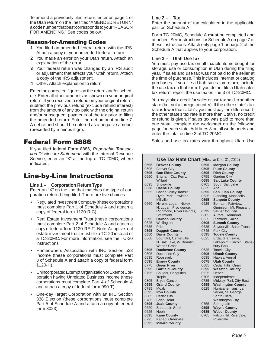To amend a previously filed return, enter on page 1 of the Utah return on the line titled "AMENDED RETURN" a code number that best corresponds to your "REASON FOR AMENDING." See codes below.

#### **Reason-for-Amending Codes**

- **1** You filed an amended federal return with the IRS. Attach a copy of your amended federal return.
- **2** You made an error on your Utah return. Attach an explanation of the error.
- **3** Your federal return was changed by an IRS audit or adjustment that affects your Utah return. Attach a copy of the IRS adjustment.
- **4** Other. Attach explanation to return.

Enter the corrected figures on the return and/or schedule. Enter all other amounts as shown on your original return. If you received a refund on your original return, subtract the previous refund (exclude refund interest) from the amount of any tax paid with the original return and/or subsequent payments of the tax prior to filing the amended return. Enter the net amount on line 7. A net refund should be entered as a negative amount (preceded by a minus sign).

## **Federal Form 8886**

If you filed federal Form 8886, Reportable Transac*tion Disclosure Statement*, with the Internal Revenue Service, enter an "X" at the top of TC-20MC, where indicated.

## **Line-by-Line Instructions**

#### **Line 1 – Corporation Return Type**

Enter an "X" on the line that matches the type of corporation return being filed. There are five choices:

- Regulated Investment Company (these corporations must complete Part 1 of Schedule A and attach a copy of federal form 1120-RIC).
- Real Estate Investment Trust (these corporations must complete Part 2 of Schedule A and attach a copy of federal form 1120-REIT). Note: A captive real estate investment trust must file a TC-20 instead of a TC-20MC. For more information, see the TC-20 instructions.
- Homeowners Association with IRC Section 528 Income (these corporations must complete Part 3 of Schedule A and attach a copy of federal form 1120-H).
- Unincorporated Exempt Organization or Exempt Corporation having Unrelated Business Income (these corporations must complete Part 4 of Schedule A and attach a copy of federal form 990-T).
- One-day Target Corporation with an IRC Section 338 Election (these corporations must complete Part 5 of Schedule A and attach a copy of federal form 8023).

#### **Line 2 – Tax**

Enter the amount of tax calculated in the applicable part on Schedule A.

Form TC-20MC, Schedule A **must** be completed and attached. See instructions for Schedule A on page 7 of these instructions. Attach only page 1 or page 2 of the Schedule A that applies to your corporation.

#### **Line 3 – Utah Use Tax**

You must pay use tax on all taxable items bought for storage, use or consumption in Utah during the filing year, if sales and use tax was not paid to the seller at the time of purchase. This includes Internet or catalog purchases. If you file a Utah sales tax return, include the use tax on that form. If you do not file a Utah sales tax return, report the use tax on line 3 of TC-20MC.

You may take a credit for sales or use tax paid to another state (but not a foreign country). If the other state's tax rate is lower than Utah's, you must pay the difference. If the other state's tax rate is more than Utah's, no credit or refund is given. If sales tax was paid to more than one state, complete the worksheet on the following page for each state. Add lines 8 on all worksheets and enter the total on line 3 of TC-20MC.

Sales and use tax rates vary throughout Utah. Use

### **Use Tax Rate Chart** (Effective Dec. 31, 2012) **.0595 Morgan County**

| .0595 | <b>Beaver County</b>        | .0595      | <b>Morgan County</b>             |
|-------|-----------------------------|------------|----------------------------------|
| .0695 | <b>Beaver City</b>          | .0595      | <b>Piute County</b>              |
| .0595 | <b>Box Elder County</b>     | .0595      | <b>Rich County</b>               |
| .0650 | Brigham City, Perry,        | .0755      | <b>Garden City</b>               |
|       | Willard                     | .0685      | <b>Salt Lake County</b>          |
| .0695 | Snowville                   | .0705      | South Salt Lake                  |
| .0630 | <b>Cache County</b>         | 0.0835     | Alta                             |
| .0655 | Cache Valley Transit,       | .0595      | <b>San Juan County</b>           |
|       | Hyde Park, Lewiston,        | .0635      | Blanding, Monticello             |
|       | Millville                   | .0595      | <b>Sanpete County</b>            |
| .0660 | Hyrum, Logan, Nibley,       | .0625      | Ephraim, Fairview,               |
|       | N. Logan, Providence,       |            | Gunnison, Mt. Pleasant           |
|       | Richmond, River Heights,    | .0595      | <b>Sevier County</b>             |
|       | Smithfield                  | .0605      | Aurora, Redmond                  |
| .0595 | <b>Carbon County</b>        | .0635      | Richfield, Salina                |
| .0625 | Wellington                  | .0605      | <b>Summit County</b>             |
| .0635 | Price                       | .0635      | <b>Snyderville Basin Transit</b> |
| .0695 | <b>Daggett County</b>       | .0745      | Park City                        |
| .0650 | <b>Davis County</b>         | .0595      | <b>Tooele County</b>             |
| .0660 | Bountiful, Centerville,     | .0625      | Erda, Grantsville,               |
|       | N. Salt Lake, W. Bountiful, |            | Lakepoint, Lincoln, Stans-       |
|       | <b>Woods Cross</b>          |            | bury Park                        |
| .0595 | <b>Duchesne County</b>      | .0635      | <b>Tooele City</b>               |
| .0605 | Duchesne City               | .0605<br>L | <b>Uintah County</b>             |
| .0635 | Roosevelt                   | 1.0635     | Naples, Vernal                   |
| .0595 | <b>Emery County</b>         | .0675      | <b>Utah County</b>               |
| .0775 | <b>Green River</b>          | .0685      | Cedar Hills, Orem                |
| .0695 | <b>Garfield County</b>      | .0595      | <b>Wasatch County</b>            |
| .0795 | Boulder, Panguitch,         | .0625      | Heber                            |
|       | Tropic                      | .0705      | Independence                     |
| .0805 | <b>Bryce Canyon</b>         | .0735      | Midway, Park City East           |
| .0595 | <b>Grand County</b>         | .0595      | <b>Washington County</b>         |
| .0785 | Moab                        | .0625<br>L | Hurricane, Ivins, La             |
| .0595 | <b>Iron County</b>          |            | Verkin, St. George,              |
| .0605 | <b>Cedar City</b>           |            | Santa Clara,                     |
| .0785 | <b>Brian Head</b>           |            | <b>Washington City</b>           |
| .0595 | <b>Juab County</b>          | .0755      | Springdale                       |
| .0620 | Santaquin South             | .0595      | <b>Wayne County</b>              |
| .0625 | Nephi                       | .0685      | <b>Weber County</b>              |
| .0695 | <b>Kane County</b>          | .0705      | Falcon Hill Riverdale,           |
| .0795 | Kanab, Orderville           |            | Riverdale                        |
| .0595 | <b>Millard County</b>       |            |                                  |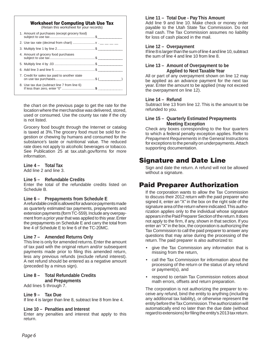#### **Worksheet for Computing Utah Use Tax** (Retain this worksheet for your records)

| If less than zero, enter "0" \$ |  |  |  |
|---------------------------------|--|--|--|
|                                 |  |  |  |

the chart on the previous page to get the rate for the location where the merchandise was delivered, stored, used or consumed. Use the county tax rate if the city is not listed.

Grocery food bought through the Internet or catalog is taxed at 3%.The grocery food must be sold for ingestion or chewing by humans and consumed for the substance's taste or nutritional value. The reduced rate does not apply to alcoholic beverages or tobacco. See Publication 25 at tax.utah.gov/forms for more information.

#### **Line 4 – Total Tax**

Add line 2 and line 3.

#### **Line 5 – Refundable Credits**

Enter the total of the refundable credits listed on Schedule B.

#### **Line 6 – Prepayments from Schedule E**

A refundable credit is allowed for advance payments made as quarterly estimated tax payments, prepayments and extension payments (form TC-559). Include any overpayment from a prior year that was applied to this year. Enter the prepayments on Schedule E and carry the total from line 4 of Schedule E to line 6 of the TC-20MC.

#### **Line 7 – Amended Returns Only**

This line is only for amended returns. Enter the amount of tax paid with the original return and/or subsequent payments made prior to filing this amended return, less any previous refunds (exclude refund interest). A net refund should be entered as a negative amount (preceded by a minus sign).

#### **Line 8 – Total Refundable Credits**

**and Prepayments**

#### Add lines 5 through 7.

#### **Line 9 – Tax Due**

If line 4 is larger than line 8, subtract line 8 from line 4.

#### **Line 10 – Penalties and Interest**

Enter any penalties and interest that apply to this return.

#### **Line 11 – Total Due - Pay This Amount**

Add line 9 and line 10. Make check or money order payable to the Utah State Tax Commission. Do not mail cash. The Tax Commission assumes no liability for loss of cash placed in the mail.

#### **Line 12 – Overpayment**

If line 8 is larger than the sum of line 4 and line 10, subtract the sum of line 4 and line 10 from line 8.

#### **Line 13 – Amount of Overpayment to be Applied to Next Taxable Year**

All or part of any overpayment shown on line 12 may be applied as an advance payment for the next tax year. Enter the amount to be applied (may not exceed the overpayment on line 12).

#### **Line 14 – Refund**

Subtract line 13 from line 12. This is the amount to be refunded to you.

#### **Line 15 – Quarterly Estimated Prepayments Meeting Exception**

Check any boxes corresponding to the four quarters to which a federal penalty exception applies. Refer to *Prepayment Requirements* in the General Instructions for exceptions to the penalty on underpayments. Attach supporting documentation.

### **Signature and Date Line**

Sign and date the return. A refund will not be allowed without a signature.

## **Paid Preparer Authorization**

If the corporation wants to allow the Tax Commission to discuss their 2012 return with the paid preparer who signed it, enter an "X" in the box on the right side of the signature area of the return where indicated. This authorization applies only to the individual whose signature appears in the Paid Preparer Section of the return. It does not apply to the firm, if any, shown in that section. If you enter an "X" in the box, the corporation is authorizing the Tax Commission to call the paid preparer to answer any questions that may arise during the processing of the return. The paid preparer is also authorized to:

- give the Tax Commission any information that is missing from the return,
- call the Tax Commission for information about the processing of the return or the status of any refund or payment(s), and
- respond to certain Tax Commission notices about math errors, offsets and return preparation.

The corporation is not authorizing the preparer to receive any refund, bind the entity to anything (including any additional tax liability), or otherwise represent the entity before the Tax Commission. The authorization will automatically end no later than the due date (without regard to extensions) for filing the entity's 2013 tax return.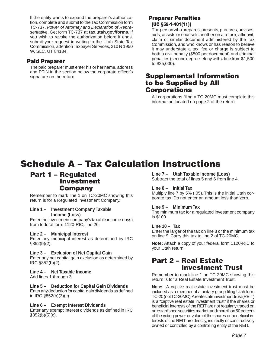If the entity wants to expand the preparer's authorization, complete and submit to the Tax Commission form TC-737, *Power of Attorney and Declaration of Representative*. Get form TC-737 at **tax.utah.gov/forms**. If you wish to revoke the authorization before it ends, submit your request in writing to the Utah State Tax Commission, attention Taxpayer Services, 210 N 1950 W, SLC, UT 84134.

### **Paid Preparer**

The paid preparer must enter his or her name, address and PTIN in the section below the corporate officer's signature on the return.

### **Preparer Penalties (UC §59-1-401(11))**

The person who prepares, presents, procures, advises, aids, assists or counsels another on a return, affidavit, claim or similar document administered by the Tax Commission, and who knows or has reason to believe it may understate a tax, fee or charge is subject to both a civil penalty (\$500 per document) and criminal penalties (second degree felony with a fine from \$1,500 to \$25,000).

### **Supplemental Information to be Supplied by All Corporations**

All corporations filing a TC-20MC must complete this information located on page 2 of the return.

# **Schedule A – Tax Calculation Instructions**

### **Part 1 – Regulated Investment Company**

Remember to mark line 1 on TC-20MC showing this return is for a Regulated Investment Company.

#### **Line 1 – Investment Company Taxable Income (Loss)**

Enter the investment company's taxable income (loss) from federal form 1120-RIC, line 26.

#### **Line 2 – Municipal Interest**

Enter any municipal interest as determined by IRC §852(b)(2).

#### **Line 3 – Exclusion of Net Capital Gain** Enter any net capital gain exclusion as determined by IRC §852(b)(2).

#### **Line 4 – Net Taxable Income**

Add lines 1 through 3.

#### **Line 5 – Deduction for Capital Gain Dividends**

Enter any deduction for capital gain dividends as defined in IRC §852(b)(3)(c).

#### **Line 6 – Exempt Interest Dividends**

Enter any exempt interest dividends as defined in IRC  $§852(b)(5)(c)$ .

### **Line 7 – Utah Taxable Income (Loss)**

Subtract the total of lines 5 and 6 from line 4.

#### **Line 8 – Initial Tax**

Multiply line 7 by 5% (.05). This is the initial Utah corporate tax. Do not enter an amount less than zero.

#### **Line 9 – Minimum Tax**

The minimum tax for a regulated investment company is \$100.

#### **Line 10 – Tax**

Enter the larger of the tax on line 8 or the minimum tax on line 9. Carry this tax to line 2 of TC-20MC.

**Note:** Attach a copy of your federal form 1120-RIC to your Utah return.

### **Part 2 – Real Estate Investment Trust**

Remember to mark line 1 on TC-20MC showing this return is for a Real Estate Investment Trust.

**Note:** A captive real estate investment trust must be included as a member of a unitary group filing Utah form TC-20 (not TC-20MC). A real estate investment trust (REIT) is a "captive real estate investment trust" if the shares or beneficial interests of the REIT are not regularly traded on an established securities market, and more than 50 percent of the voting power or value of the shares or beneficial interests of the REIT are directly, indirectly or constructively owned or controlled by a controlling entity of the REIT.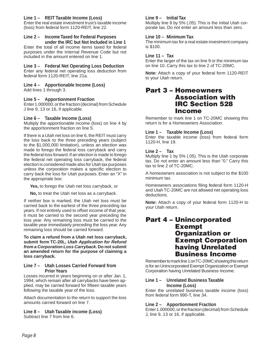#### **Line 1 – REIT Taxable Income (Loss)**

Enter the real estate investment trust's taxable income (loss) from federal form 1120-REIT, line 22.

#### **Line 2 – Income Taxed for Federal Purposes under the IRC but Not Included in Line 1**

Enter the total of all income items taxed for federal purposes under the Internal Revenue Code but not included in the amount entered on line 1.

#### **Line 3 – Federal Net Operating Loss Deduction**

Enter any federal net operating loss deduction from federal form 1120-REIT, line 21a.

#### **Line 4 – Apportionable Income (Loss)**

Add lines 1 through 3.

#### **Line 5 – Apportionment Fraction**

Enter 1.000000, or the fraction (decimal) from Schedule J line 9, 13 or 16, if applicable.

#### **Line 6 – Taxable Income (Loss)**

Multiply the apportionable income (loss) on line 4 by the apportionment fraction on line 5.

If there is a Utah net loss on line 6, the REIT must carry the loss back to the three preceding years (subject to the \$1,000,000 limitation), unless an election was made to forego the federal loss carryback and carry the federal loss forward. If an election is made to forego the federal net operating loss carryback, the federal election is considered made also for Utah tax purposes unless the corporation makes a specific election to carry back the loss for Utah purposes. Enter an "X" in the appropriate box:

**Yes,** to forego the Utah net loss carryback, or

**No,** to treat the Utah net loss as a carryback.

If neither box is marked, the Utah net loss must be carried back to the earliest of the three preceding tax years. If not entirely used to offset income of that year, it must be carried to the second year preceding the loss year. Any remaining loss must be carried to the taxable year immediately preceding the loss year. Any remaining loss should be carried forward.

**To claim a refund from a Utah net loss carryback, submit form TC-20L,** *Utah Application for Refund from a Corporation Loss Carryback***. Do not submit an amended return for the purpose of claiming a loss carryback.**

#### **Line 7 – Utah Losses Carried Forward from Prior Years**

Losses incurred in years beginning on or after Jan. 1, 1994, which remain after all carrybacks have been applied, may be carried forward for fifteen taxable years following the taxable year of the loss.

Attach documentation to the return to support the loss amounts carried forward on line 7.

**Line 8 – Utah Taxable income (Loss)** Subtract line 7 from line 6.

#### **Line 9 – Initial Tax**

Multiply line 8 by 5% (.05). This is the initial Utah corporate tax. Do not enter an amount less than zero.

#### **Line 10 – Minimum Tax**

The minimum tax for a real estate investment company is \$100.

#### **Line 11 – Tax**

Enter the larger of the tax on line 9 or the minimum tax on line 10. Carry this tax to line 2 of TC-20MC.

**Note:** Attach a copy of your federal form 1120-REIT to your Utah return.

### **Part 3 – Homeowners Association with IRC Section 528 Income**

Remember to mark line 1 on TC-20MC showing this return is for a Homeowners Association.

#### **Line 1 – Taxable Income (Loss)**

Enter the taxable income (loss) from federal form 1120-H, line 19.

#### **Line 2 – Tax**

Multiply line 1 by 5% (.05). This is the Utah corporate tax. Do not enter an amount less than "0." Carry this tax to line 2 of TC-20MC.

A homeowners association is not subject to the \$100 minimum tax.

Homeowners associations filing federal form 1120-H and Utah TC-20MC are not allowed net operating loss deductions.

**Note:** Attach a copy of your federal form 1120-H to your Utah return.

### **Part 4 – Unincorporated Exempt Organization or Exempt Corporation having Unrelated Business Income**

Remember to mark line 1 on TC-20MC showing this return is for an Unincorporated Exempt Organization or Exempt Corporation having Unrelated Business Income.

#### **Line 1 – Unrelated Business Taxable Income (Loss)**

Enter the unrelated business taxable income (loss) from federal form 990-T, line 34.

#### **Line 2 – Apportionment Fraction**

Enter 1.000000, or the fraction (decimal) from Schedule J, line 9, 13 or 16, if applicable.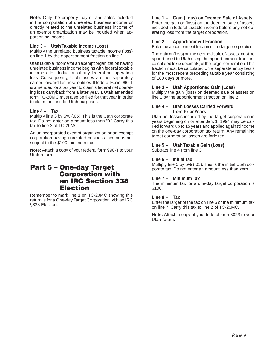**Note:** Only the property, payroll and sales included in the computation of unrelated business income or directly related to the unrelated business income of an exempt organization may be included when apportioning income.

#### **Line 3 – Utah Taxable Income (Loss)**

Multiply the unrelated business taxable income (loss) on line 1 by the apportionment fraction on line 2.

Utah taxable income for an exempt organization having unrelated business income begins with federal taxable income after deduction of any federal net operating loss. Consequently, Utah losses are not separately carried forward for these entities. If federal Form 990-T is amended for a tax year to claim a federal net operating loss carryback from a later year, a Utah amended form TC-20MC must also be filed for that year in order to claim the loss for Utah purposes.

#### **Line 4 – Tax**

Multiply line 3 by 5% (.05). This is the Utah corporate tax. Do not enter an amount less than "0." Carry this tax to line 2 of TC-20MC.

An unincorporated exempt organization or an exempt corporation having unrelated business income is not subject to the \$100 minimum tax.

**Note:** Attach a copy of your federal form 990-T to your Utah return.

### **Part 5 – One-day Target Corporation with an IRC Section 338 Election**

Remember to mark line 1 on TC-20MC showing this return is for a One-day Target Corporation with an IRC §338 Election.

### **Line 1 – Gain (Loss) on Deemed Sale of Assets**

Enter the gain or (loss) on the deemed sale of assets included in federal taxable income before any net operating loss from the target corporation.

### **Line 2 – Apportionment Fraction**

Enter the apportionment fraction of the target corporation.

The gain or (loss) on the deemed sale of assets must be apportioned to Utah using the apportionment fraction, calculated to six decimals, of the target corporation. This fraction must be calculated on a separate entity basis for the most recent preceding taxable year consisting of 180 days or more.

#### **Line 3 – Utah Apportioned Gain (Loss)**

Multiply the gain (loss) on deemed sale of assets on line 1 by the apportionment fraction on line 2.

#### **Line 4 – Utah Losses Carried Forward from Prior Years**

Utah net losses incurred by the target corporation in years beginning on or after Jan. 1, 1994 may be carried forward up to 15 years and applied against income on the one-day corporation tax return. Any remaining target corporation losses are forfeited.

### **Line 5 – Utah Taxable Gain (Loss)**

Subtract line 4 from line 3.

#### **Line 6 – Initial Tax**

Multiply line 5 by 5% (.05). This is the initial Utah corporate tax. Do not enter an amount less than zero.

### **Line 7 – Minimum Tax**

The minimum tax for a one-day target corporation is \$100.

### **Line 8 – Tax**

Enter the larger of the tax on line 6 or the minimum tax on line 7. Carry this tax to line 2 of TC-20MC.

**Note:** Attach a copy of your federal form 8023 to your Utah return.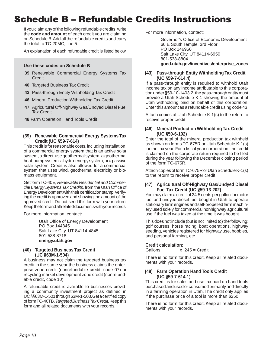# **Schedule B – Refundable Credits Instructions**

If you claim any of the following refundable credits, write the **code and amount** of each credit you are claiming on Schedule B. Add all the refundable credits and carry the total to TC-20MC, line 5.

An explanation of each refundable credit is listed below.

#### **Use these codes on Schedule B**

- **39** Renewable Commercial Energy Systems Tax **Credit**
- **40** Targeted Business Tax Credit
- **43** Pass-through Entity Withholding Tax Credit
- **46** Mineral Production Withholding Tax Credit
- **47** Agricultural Off-highway Gas/Undyed Diesel Fuel Tax Credit
- **48** Farm Operation Hand Tools Credit

#### **(39) Renewable Commercial Energy Systems Tax Credit (UC §59-7-614)**

This credit is for reasonable costs, including installation, of a commercial energy system that is an active solar system, a direct-use geothermal system, a geothermal heat-pump system, a hydro-energy system, or a passive solar system. Credit is also allowed for a commercial system that uses wind, geothermal electricity or biomass equipment.

Get form TC-40E, *Renewable Residential and Commer*cial Energy Systems Tax Credits, from the Utah Office of Energy Development with their certification stamp, verifying the credit is approved and showing the amount of the approved credit. Do not send this form with your return. Keep the form and all related documents with your records.

For more information, contact:

Utah Office of Energy Development PO Box 144845 Salt Lake City, UT 84114-4845 801-538-8718 **energy.utah.gov**

#### **(40) Targeted Business Tax Credit (UC §63M-1-504)**

A business may not claim the targeted business tax credit in the same year the business claims the enterprise zone credit (nonrefundable credit, code 07) or recycling market development zone credit (nonrefundable credit, code 10).

A refundable credit is available to businesses providing a community investment project as defined in UC §§63M-1-501 through 63M-1-503. Get a certified copy of form TC-40TB, *Targeted Business Tax Credit.* Keep this form and all related documents with your records.

For more information, contact:

Governor's Office of Economic Development 60 E South Temple, 3rd Floor PO Box 146950 Salt Lake City, UT 84114-6950 801-538-8804 **goed.utah.gov/incentives/enterprise\_zones**

#### **(43) Pass-through Entity Withholding Tax Credit (UC §59-7-614.4)**

If a pass-through entity is required to withhold Utah income tax on any income attributable to this corporation under §59-10-1403.2, the pass-through entity must provide a Utah Schedule K-1 showing the amount of Utah withholding paid on behalf of this corporation. Enter this amount as a refundable credit using code 43.

Attach copies of Utah Schedule K-1(s) to the return to receive proper credit.

#### **(46) Mineral Production Withholding Tax Credit (UC §59-6-102)**

Enter the total of the mineral production tax withheld as shown on forms TC-675R or Utah Schedule K-1(s) for the tax year. For a fiscal year corporation, the credit is claimed on the corporate return required to be filed during the year following the December closing period of the form TC-675R.

Attach copies of form TC-675R or Utah Schedule K-1(s) to the return to receive proper credit.

#### **(47) Agricultural Off-Highway Gas/Undyed Diesel Fuel Tax Credit (UC §59-13-202)**

You may claim a credit of 24.5 cents per gallon for motor fuel and undyed diesel fuel bought in Utah to operate stationary farm engines and self-propelled farm machinery used solely for commercial nonhighway agricultural use if the fuel was taxed at the time it was bought.

This does not include (but is not limited to) the following: golf courses, horse racing, boat operations, highway seeding, vehicles registered for highway use, hobbies, and personal farming, etc.

#### **Credit calculation:**

Gallons  $\frac{245}{2}$  = Credit  $\frac{245}{2}$ 

There is no form for this credit. Keep all related documents with your records.

#### **(48) Farm Operation Hand Tools Credit (UC §59-7-614.1)**

This credit is for sales and use tax paid on hand tools purchased and used or consumed primarily and directly in a farming operation in Utah. The credit only applies if the purchase price of a tool is more than \$250.

There is no form for this credit. Keep all related documents with your records.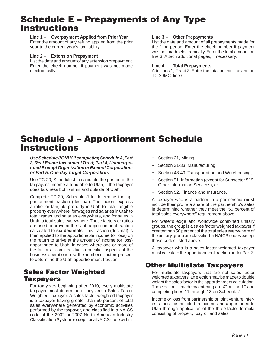# **Schedule E – Prepayments of Any Type Instructions**

#### **Line 1 – Overpayment Applied from Prior Year**

Enter the amount of any refund applied from the prior year to the current year's tax liability.

#### **Line 2 – Extension Prepayment**

List the date and amount of any extension prepayment. Enter the check number if payment was not made electronically.

#### **Line 3 – Other Prepayments**

List the date and amount of all prepayments made for the filing period. Enter the check number if payment was not made electronically. Enter the total amount on line 3. Attach additional pages, if necessary.

#### **Line 4 – Total Prepayments**

Add lines 1, 2 and 3. Enter the total on this line and on TC-20MC, line 6.

# **Schedule J – Apportionment Schedule Instructions**

*Use Schedule J ONLY if completing Schedule A, Part 2, Real Estate Investment Trust; Part 4, Unincorporated Exempt Organization or Exempt Corporation; or Part 5, One-day Target Corporation.*

Use TC-20, Schedule J to calculate the portion of the taxpayer's income attributable to Utah, if the taxpayer does business both within and outside of Utah.

Complete TC-20, Schedule J to determine the apportionment fraction (decimal). The factors express a ratio for tangible property in Utah to total tangible property everywhere, for wages and salaries in Utah to total wages and salaries everywhere, and for sales in Utah to total sales everywhere. These factors or ratios are used to arrive at the Utah apportionment fraction calculated to **six decimals**. This fraction (decimal) is then applied to the apportionable income (or loss) on the return to arrive at the amount of income (or loss) apportioned to Utah. In cases where one or more of the factors is omitted due to peculiar aspects of the business operations, use the number of factors present to determine the Utah apportionment fraction.

## **Sales Factor Weighted Taxpayers**

For tax years beginning after 2010, every multistate taxpayer must determine if they are a Sales Factor Weighted Taxpayer. A sales factor weighted taxpayer is a taxpayer having greater than 50 percent of total sales everywhere generated by economic activities performed by the taxpayer, and classified in a NAICS code of the 2002 or 2007 North American Industry Classification System, **except** for a NAICS code within:

- Section 21, Mining;
- Section 31-33, Manufacturing;
- Section 48-49, Transportation and Warehousing;
- Section 51, Information (except for Subsector 519, Other Information Services); or
- Section 52, Finance and Insurance.

A taxpayer who is a partner in a partnership **must** include their pro rata share of the partnership's sales in determining whether they meet the "50 percent of total sales everywhere" requirement above.

For water's edge and worldwide combined unitary groups, the group is a sales factor weighted taxpayer if greater than 50 percent of the total sales everywhere of the unitary group are classified in NAICS codes except those codes listed above.

A taxpayer who is a sales factor weighted taxpayer must calculate the apportionment fraction under Part 3.

## **Other Multistate Taxpayers**

For multistate taxpayers that are not sales factor weighted taxpayers, an election may be made to double weight the sales factor in the apportionment calculation. The election is made by entering an "X" on line 10 and completing lines 11 through 13 on Schedule J.

Income or loss from partnership or joint venture interests must be included in income and apportioned to Utah through application of the three-factor formula consisting of property, payroll and sales.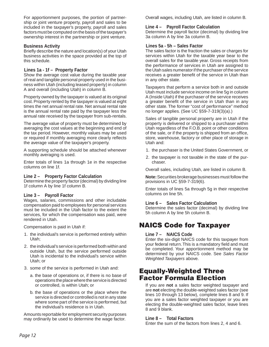For apportionment purposes, the portion of partnership or joint venture property, payroll and sales to be included in the taxpayer's property, payroll and sales factors must be computed on the basis of the taxpayer's ownership interest in the partnership or joint venture.

#### **Business Activity**

Briefly describe the nature and location(s) of your Utah business activities in the space provided at the top of this schedule.

#### **Lines 1a - 1f – Property Factor**

Show the average cost value during the taxable year of real and tangible personal property used in the business within Utah (including leased property) in column A and overall (including Utah) in column B.

Property owned by the taxpayer is valued at its original cost. Property rented by the taxpayer is valued at eight times the net annual rental rate. Net annual rental rate is the annual rental rate paid by the taxpayer less the annual rate received by the taxpayer from sub-rentals.

The average value of property must be determined by averaging the cost values at the beginning and end of the tax period. However, monthly values may be used or required if monthly averaging more clearly reflects the average value of the taxpayer's property.

A supporting schedule should be attached whenever monthly averaging is used.

Enter totals of lines 1a through 1e in the respective columns on line 1f.

#### **Line 2 – Property Factor Calculation**

Determine the property factor (decimal) by dividing line 1f column A by line 1f column B.

#### **Line 3 – Payroll Factor**

Wages, salaries, commissions and other includable compensation paid to employees for personal services must be included in the Utah factor to the extent the services, for which the compensation was paid, were rendered in Utah.

Compensation is paid in Utah if:

- 1. the individual's service is performed entirely within Utah;
- 2. the individual's service is performed both within and outside Utah, but the service performed outside Utah is incidental to the individual's service within Utah; or
- 3. some of the service is performed in Utah and:
	- a. the base of operations or, if there is no base of operations the place where the service is directed or controlled, is within Utah; or
	- b. the base of operations or the place where the service is directed or controlled is not in any state where some part of the service is performed, but the individual's residence is in Utah.

Amounts reportable for employment security purposes may ordinarily be used to determine the wage factor.

Overall wages, including Utah, are listed in column B.

#### **Line 4 – Payroll Factor Calculation**

Determine the payroll factor (decimal) by dividing line 3a column A by line 3a column B.

#### **Lines 5a - 5h – Sales Factor**

The sales factor is the fraction the sales or charges for services within Utah for the taxable year bear to the overall sales for the taxable year. Gross receipts from the performance of services in Utah are assigned to the Utah sales numerator if the purchaser of the service receives a greater benefit of the service in Utah than in any other state.

Taxpayers that perform a service both in and outside Utah must include service income on line 5g in column A (Inside Utah) if the purchaser of the service receives a greater benefit of the service in Utah than in any other state. The former "cost of performance" method no longer applies. (See UC §59-7-319(3)(a).)

Sales of tangible personal property are in Utah if the property is delivered or shipped to a purchaser within Utah regardless of the F.O.B. point or other conditions of the sale, or if the property is shipped from an office, store, warehouse, factory or other place of storage in Utah and:

- 1. the purchaser is the United States Government, or
- 2. the taxpayer is not taxable in the state of the purchaser.

Overall sales, including Utah, are listed in column B.

**Note:** Securities brokerage businesses must follow the provisions in UC §59-7-319(6).

Enter totals of lines 5a through 5g in their respective columns on line 5h.

#### **Line 6 – Sales Factor Calculation**

Determine the sales factor (decimal) by dividing line 5h column A by line 5h column B.

## **NAICS Code for Taxpayer**

#### **Line 7 – NAICS Code**

Enter the six-digit NAICS code for this taxpayer from your federal return. This is a mandatory field and must be completed. Your apportionment method may be determined by your NAICS code. See *Sales Factor Weighted Taxpayers* above.

## **Equally-Weighted Three Factor Formula Election**

If you are **not** a sales factor weighted taxpayer and are **not** electing the double-weighted sales factor (see lines 10 through 13 below), complete lines 8 and 9. If you are a sales factor weighted taxpayer or you are electing the double-weighted sales factor, leave lines 8 and 9 blank.

#### **Line 8 – Total Factors**

Enter the sum of the factors from lines 2, 4 and 6.